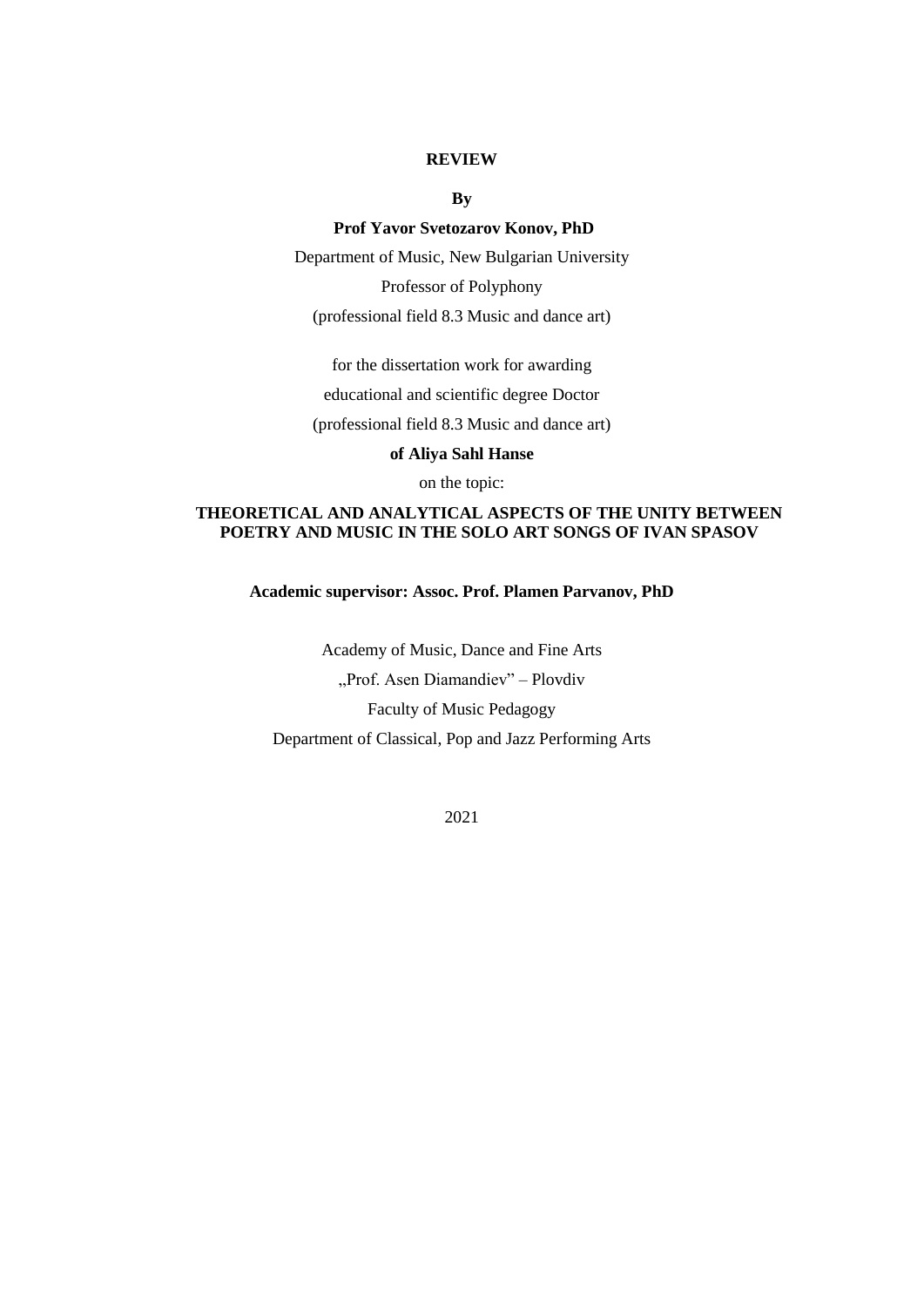## **REVIEW**

**By**

## **Prof Yavor Svetozarov Konov, PhD**

Department of Music, New Bulgarian University Professor of Polyphony (professional field 8.3 Music and dance art)

for the dissertation work for awarding educational and scientific degree Doctor

(professional field 8.3 Music and dance art)

**of Aliya Sahl Hanse**

on the topic:

## **THEORETICAL AND ANALYTICAL ASPECTS OF THE UNITY BETWEEN POETRY AND MUSIC IN THE SOLO ART SONGS OF IVAN SPASOV**

**Academic supervisor: Assoc. Prof. Plamen Parvanov, PhD**

Academy of Music, Dance and Fine Arts "Prof. Asen Diamandiev" – Plovdiv Faculty of Music Pedagogy Department of Classical, Pop and Jazz Performing Arts

2021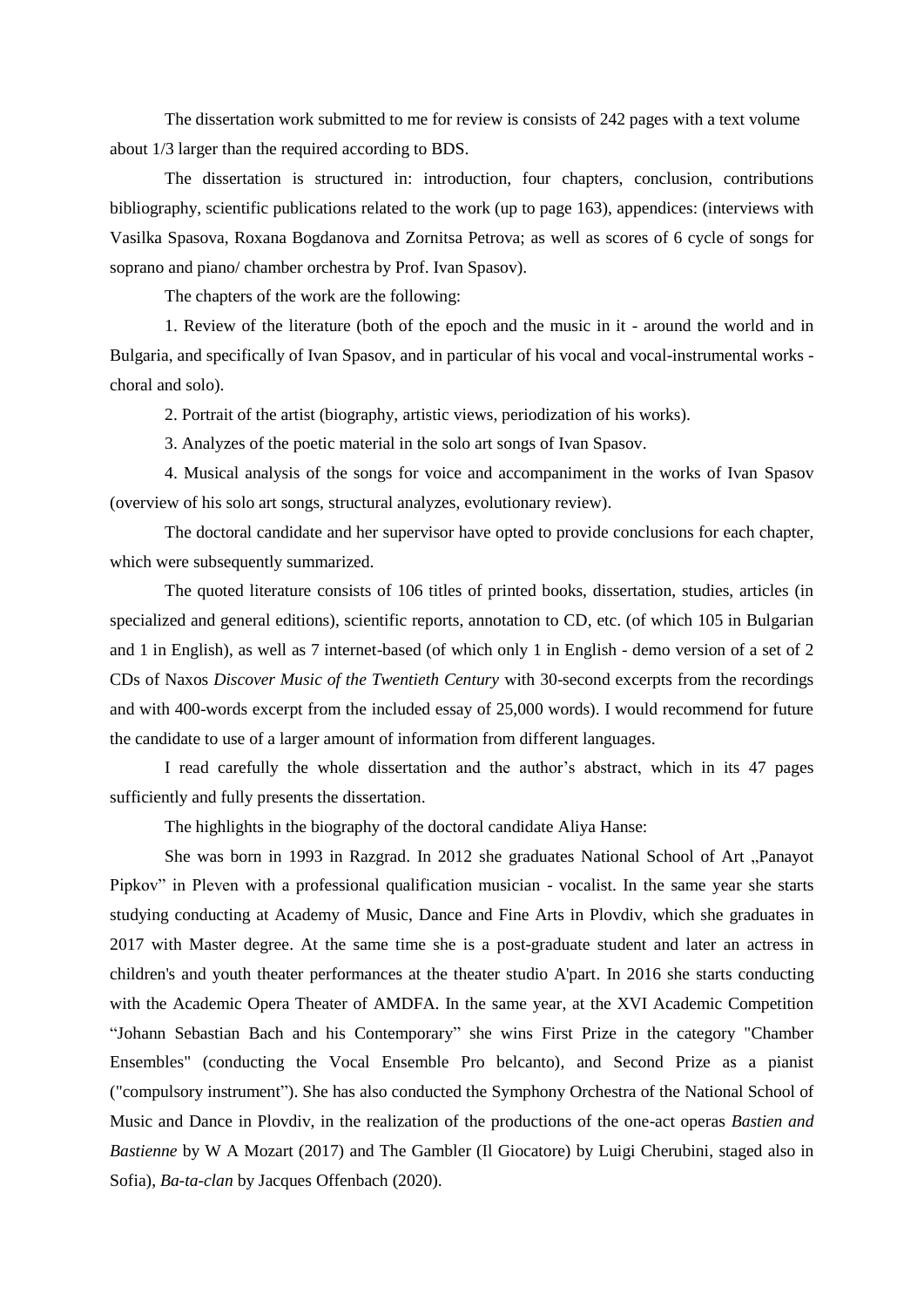The dissertation work submitted to me for review is consists of 242 pages with a text volume about 1/3 larger than the required according to BDS.

The dissertation is structured in: introduction, four chapters, conclusion, contributions bibliography, scientific publications related to the work (up to page 163), appendices: (interviews with Vasilka Spasova, Roxana Bogdanova and Zornitsa Petrova; as well as scores of 6 cycle of songs for soprano and piano/ chamber orchestra by Prof. Ivan Spasov).

The chapters of the work are the following:

1. Review of the literature (both of the epoch and the music in it - around the world and in Bulgaria, and specifically of Ivan Spasov, and in particular of his vocal and vocal-instrumental works choral and solo).

2. Portrait of the artist (biography, artistic views, periodization of his works).

3. Analyzes of the poetic material in the solo art songs of Ivan Spasov.

4. Musical analysis of the songs for voice and accompaniment in the works of Ivan Spasov (overview of his solo art songs, structural analyzes, evolutionary review).

The doctoral candidate and her supervisor have opted to provide conclusions for each chapter, which were subsequently summarized.

The quoted literature consists of 106 titles of printed books, dissertation, studies, articles (in specialized and general editions), scientific reports, annotation to CD, etc. (of which 105 in Bulgarian and 1 in English), as well as 7 internet-based (of which only 1 in English - demo version of a set of 2 CDs of Naxos *Discover Music of the Twentieth Century* with 30-second excerpts from the recordings and with 400-words excerpt from the included essay of 25,000 words). I would recommend for future the candidate to use of a larger amount of information from different languages.

I read carefully the whole dissertation and the author's abstract, which in its 47 pages sufficiently and fully presents the dissertation.

The highlights in the biography of the doctoral candidate Aliya Hanse:

She was born in 1993 in Razgrad. In 2012 she graduates National School of Art "Panayot Pipkov" in Pleven with a professional qualification musician - vocalist. In the same year she starts studying conducting at Academy of Music, Dance and Fine Arts in Plovdiv, which she graduates in 2017 with Master degree. At the same time she is a post-graduate student and later an actress in children's and youth theater performances at the theater studio A'part. In 2016 she starts conducting with the Academic Opera Theater of AMDFA. In the same year, at the XVI Academic Competition "Johann Sebastian Bach and his Contemporary" she wins First Prize in the category "Chamber Ensembles" (conducting the Vocal Ensemble Pro belcanto), and Second Prize as a pianist ("compulsory instrument"). She has also conducted the Symphony Orchestra of the National School of Music and Dance in Plovdiv, in the realization of the productions of the one-act operas *Bastien and Bastienne* by W A Mozart (2017) and The Gambler (Il Giocatore) by Luigi Cherubini, staged also in Sofia), *Ba-ta-clan* by Jacques Offenbach (2020).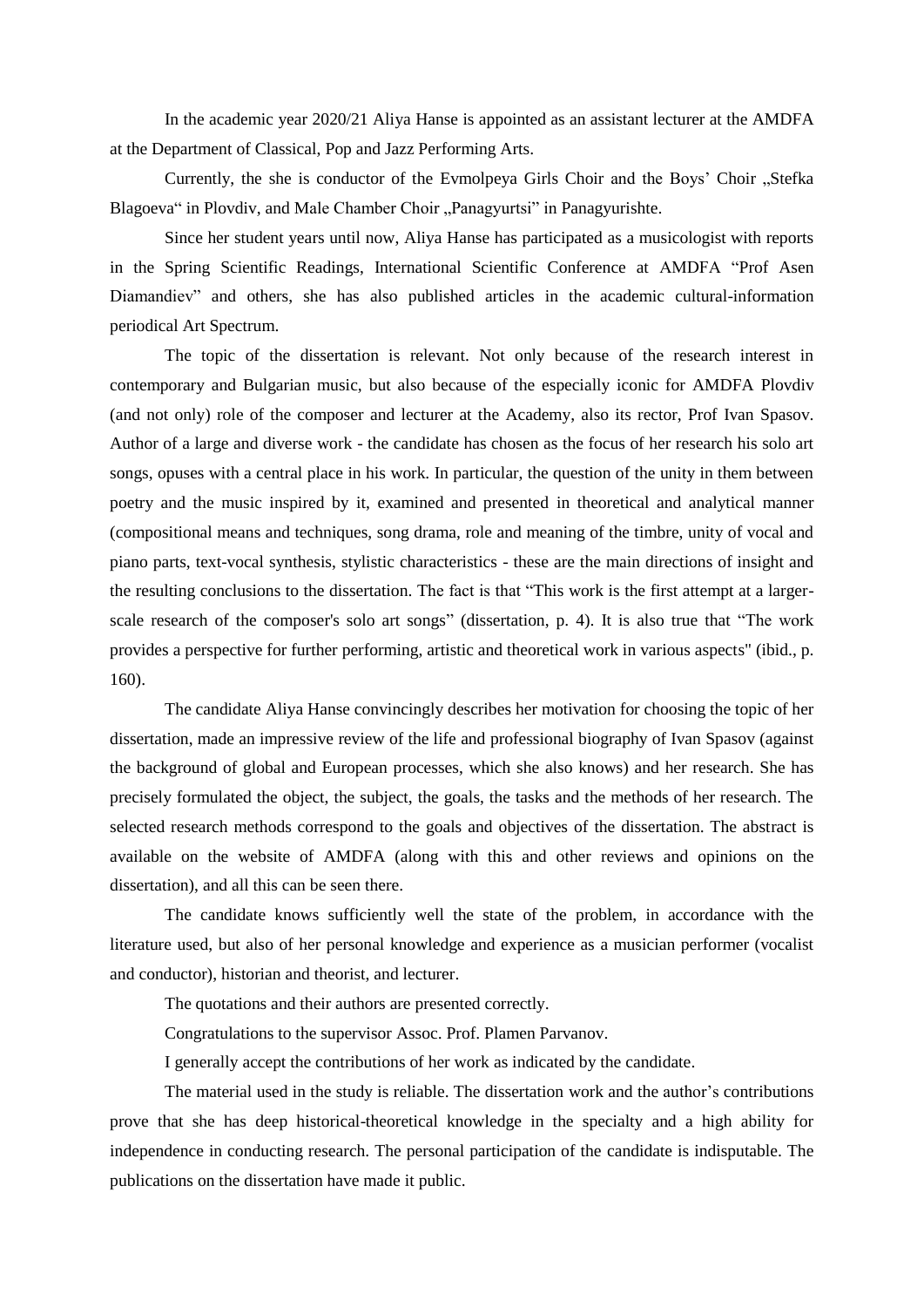In the academic year 2020/21 Aliya Hanse is appointed as an assistant lecturer at the AMDFA at the Department of Classical, Pop and Jazz Performing Arts.

Currently, the she is conductor of the Evmolpeya Girls Choir and the Boys' Choir "Stefka Blagoeva" in Plovdiv, and Male Chamber Choir "Panagyurtsi" in Panagyurishte.

Since her student years until now, Aliya Hanse has participated as a musicologist with reports in the Spring Scientific Readings, International Scientific Conference at AMDFA "Prof Asen Diamandiev" and others, she has also published articles in the academic cultural-information periodical Art Spectrum.

The topic of the dissertation is relevant. Not only because of the research interest in contemporary and Bulgarian music, but also because of the especially iconic for AMDFA Plovdiv (and not only) role of the composer and lecturer at the Academy, also its rector, Prof Ivan Spasov. Author of a large and diverse work - the candidate has chosen as the focus of her research his solo art songs, opuses with a central place in his work. In particular, the question of the unity in them between poetry and the music inspired by it, examined and presented in theoretical and analytical manner (compositional means and techniques, song drama, role and meaning of the timbre, unity of vocal and piano parts, text-vocal synthesis, stylistic characteristics - these are the main directions of insight and the resulting conclusions to the dissertation. The fact is that "This work is the first attempt at a largerscale research of the composer's solo art songs" (dissertation, p. 4). It is also true that "The work provides a perspective for further performing, artistic and theoretical work in various aspects" (ibid., p. 160).

The candidate Aliya Hanse convincingly describes her motivation for choosing the topic of her dissertation, made an impressive review of the life and professional biography of Ivan Spasov (against the background of global and European processes, which she also knows) and her research. She has precisely formulated the object, the subject, the goals, the tasks and the methods of her research. The selected research methods correspond to the goals and objectives of the dissertation. The abstract is available on the website of AMDFA (along with this and other reviews and opinions on the dissertation), and all this can be seen there.

The candidate knows sufficiently well the state of the problem, in accordance with the literature used, but also of her personal knowledge and experience as a musician performer (vocalist and conductor), historian and theorist, and lecturer.

The quotations and their authors are presented correctly.

Congratulations to the supervisor Assoc. Prof. Plamen Parvanov.

I generally accept the contributions of her work as indicated by the candidate.

The material used in the study is reliable. The dissertation work and the author's contributions prove that she has deep historical-theoretical knowledge in the specialty and a high ability for independence in conducting research. The personal participation of the candidate is indisputable. The publications on the dissertation have made it public.